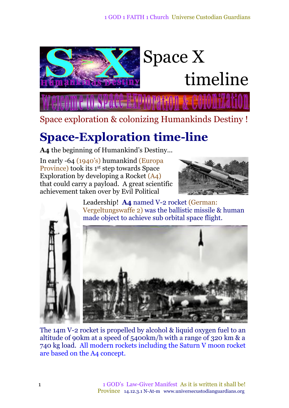

Space exploration & colonizing Humankinds Destiny !

## **Space-Exploration time-line**

**A4** the beginning of Humankind's Destiny...

In early -64 (1940's) humankind (Europa Province) took its 1<sup>st</sup> step towards Space Exploration by developing a Rocket (A4) that could carry a payload. A great scientific achievement taken over by Evil Political



Leadership! **A4** named V-2 rocket (German: Vergeltungswaffe 2) was the ballistic missile & human made object to achieve sub orbital space flight.



The 14m V-2 rocket is propelled by alcohol & liquid oxygen fuel to an altitude of 90km at a speed of 5400km/h with a range of 320 km & a 740 kg load. All modern rockets including the Saturn V moon rocket are based on the A4 concept.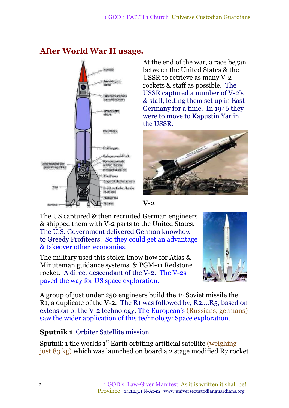#### Variead Automatic gyro control Guidebeam and radio command receivers Alcohol-water mixture Rocket body quid oxygen Hydrogen peroxide tank Hydrogen peroxide Compressed ntrogen reaction chamber pressurising bottles  $I(0)$ Propellant turbopump Œ Thrust frame Oxygenialcohol bumer caps Wing Rocket combustion chamb  $(0.0115 \text{ kHz})$ Alcohol inlets Air vane

### **After World War II usage.**

At the end of the war, a race began between the United States & the USSR to retrieve as many V-2 rockets & staff as possible. The USSR captured a number of V-2's & staff, letting them set up in East Germany for a time. In 1946 they were to move to Kapustin Yar in the USSR.



**V-2**

The US captured & then recruited German engineers & shipped them with V-2 parts to the United States. The U.S. Government delivered German knowhow to Greedy Profiteers. So they could get an advantage & takeover other economies.

The military used this stolen know how for Atlas & Minuteman guidance systems & PGM-11 Redstone rocket. A direct descendant of the V-2. The V-2s paved the way for US space exploration.



A group of just under 250 engineers build the 1<sup>st</sup> Soviet missile the R1, a duplicate of the V-2. The R1 was followed by, R2....R5, based on extension of the V-2 technology. The European's (Russians, germans) saw the wider application of this technology: Space exploration.

### **Sputnik 1** Orbiter Satellite mission

Sputnik 1 the worlds 1<sup>st</sup> Earth orbiting artificial satellite (weighing just 83 kg) which was launched on board a 2 stage modified R7 rocket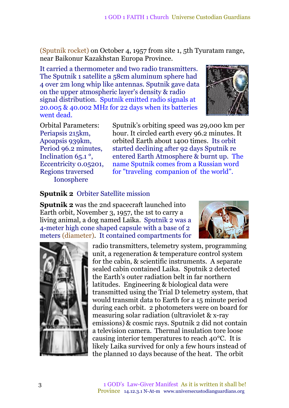(Sputnik rocket) on October 4, 1957 from site 1, 5th Tyuratam range, near Baikonur Kazakhstan Europa Province.

It carried a thermometer and two radio transmitters. The Sputnik 1 satellite a 58cm aluminum sphere had 4 over 2m long whip like antennas. Sputnik gave data on the upper atmospheric layer's density & radio signal distribution. Sputnik emitted radio signals at 20.005 & 40.002 MHz for 22 days when its batteries went dead.



Orbital Parameters: Periapsis 215km, Apoapsis 939km, Period 96.2 minutes, Inclination 65.1 °, Eccentricity 0.05201, Regions traversed Ionosphere

Sputnik's orbiting speed was 29,000 km per hour. It circled earth every 96.2 minutes. It orbited Earth about 1400 times. Its orbit started declining after 92 days Sputnik re entered Earth Atmosphere & burnt up. The name Sputnik comes from a Russian word for "traveling companion of the world".

#### **Sputnik 2** Orbiter Satellite mission

**Sputnik 2** was the 2nd spacecraft launched into Earth orbit, November 3, 1957, the 1st to carry a living animal, a dog named Laika. Sputnik 2 was a 4-meter high cone shaped capsule with a base of 2 meters (diameter). It contained compartments for





radio transmitters, telemetry system, programming unit, a regeneration & temperature control system for the cabin, & scientific instruments. A separate sealed cabin contained Laika. Sputnik 2 detected the Earth's outer radiation belt in far northern latitudes. Engineering & biological data were transmitted using the Trial D telemetry system, that would transmit data to Earth for a 15 minute period during each orbit. 2 photometers were on board for measuring solar radiation (ultraviolet & x-ray emissions) & cosmic rays. Sputnik 2 did not contain a television camera. Thermal insulation tore loose causing interior temperatures to reach 40°C. It is likely Laika survived for only a few hours instead of the planned 10 days because of the heat. The orbit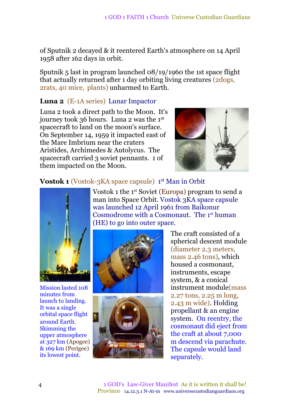of Sputnik 2 decayed & it reentered Earth's atmosphere on 14 April 1958 after 162 days in orbit.

Sputnik 5 last in program launched 08/19/1960 the 1st space flight that actually returned after 1 day orbiting living creatures (2dogs, 2rats, 40 mice, plants) unharmed to Earth.

#### **Luna 2** (E-1A series) Lunar Impactor

Luna 2 took a direct path to the Moon. It's journey took 36 hours. Luna 2 was the 1 st spacecraft to land on the moon's surface. On September 14, 1959 it impacted east of the Mare Imbrium near the craters Aristides, Archimedes & Autolycus. The spacecraft carried 3 soviet pennants. 1 of them impacted on the Moon.



#### **Vostok 1** (Vostok-3KA space capsule) 1 st Man in Orbit



Mission lasted 108 minutes from launch to landing. It was a single orbital space flight around Earth. Skimming the upper atmosphere at 327 km (Apogee) & 169 km (Perigee) its lowest point.

Vostok 1 the 1 st Soviet (Europa) program to send a man into Space Orbit. Vostok 3KA space capsule was launched 12 April 1961 from Baikonur Cosmodrome with a Cosmonaut. The 1<sup>st</sup> human (HE) to go into outer space.





The craft consisted of a spherical descent module (diameter 2.3 meters, mass 2.46 tons), which housed a cosmonaut, instruments, escape system, & a conical instrument module(mass 2.27 tons, 2.25 m long, 2.43 m wide). Holding propellant & an engine system. On reentry, the cosmonaut did eject from the craft at about 7,000 m descend via parachute. The capsule would land separately.